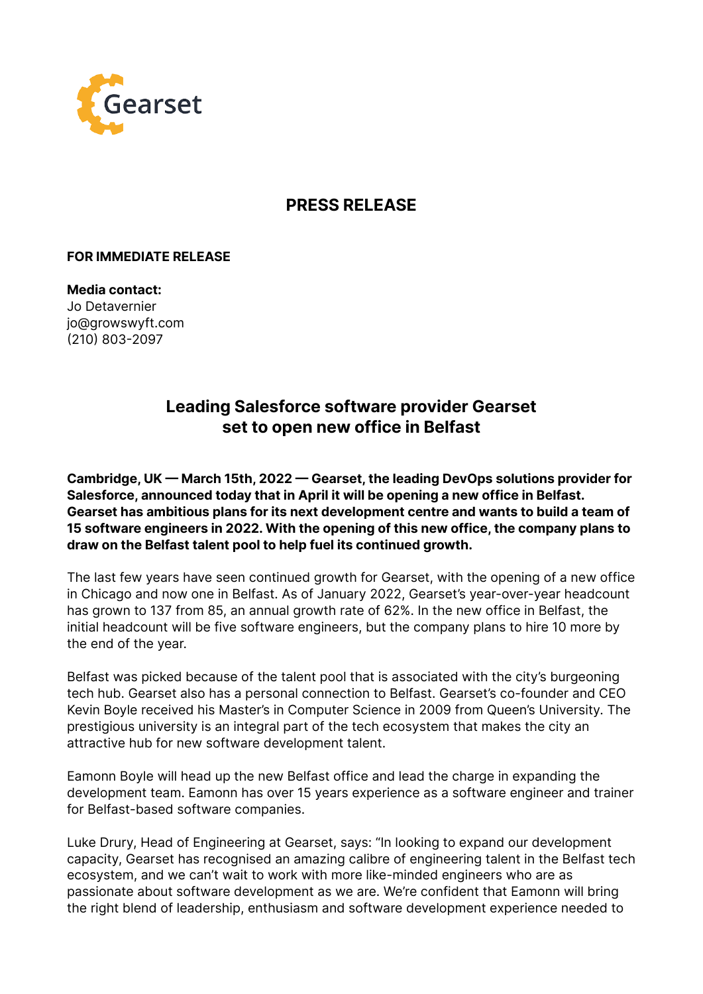

## **PRESS RELEASE**

## **FOR IMMEDIATE RELEASE**

**Media contact:** Jo Detavernier jo@growswyft.com (210) 803-2097

## **Leading Salesforce software provider Gearset set to open new office in Belfast**

**Cambridge, UK — March 15th, 2022 — Gearset, the leading DevOps solutions provider for Salesforce, announced today that in April it will be opening a new office in Belfast. Gearset has ambitious plans for its next development centre and wants to build a team of 15 software engineers in 2022. With the opening of this new office, the company plans to draw on the Belfast talent pool to help fuel its continued growth.**

The last few years have seen continued growth for Gearset, with the opening of a new office in Chicago and now one in Belfast. As of January 2022, Gearset's year-over-year headcount has grown to 137 from 85, an annual growth rate of 62%. In the new office in Belfast, the initial headcount will be five software engineers, but the company plans to hire 10 more by the end of the year.

Belfast was picked because of the talent pool that is associated with the city's burgeoning tech hub. Gearset also has a personal connection to Belfast. Gearset's co-founder and CEO Kevin Boyle received his Master's in Computer Science in 2009 from Queen's University. The prestigious university is an integral part of the tech ecosystem that makes the city an attractive hub for new software development talent.

Eamonn Boyle will head up the new Belfast office and lead the charge in expanding the development team. Eamonn has over 15 years experience as a software engineer and trainer for Belfast-based software companies.

Luke Drury, Head of Engineering at Gearset, says: "In looking to expand our development capacity, Gearset has recognised an amazing calibre of engineering talent in the Belfast tech ecosystem, and we can't wait to work with more like-minded engineers who are as passionate about software development as we are. We're confident that Eamonn will bring the right blend of leadership, enthusiasm and software development experience needed to